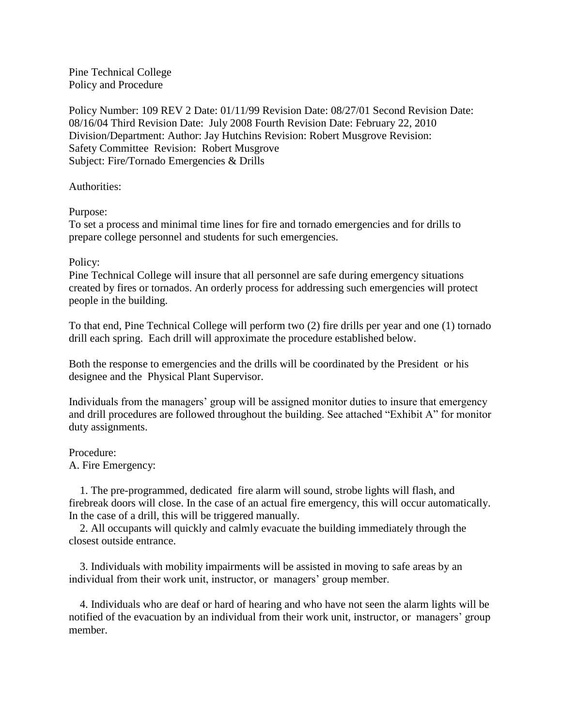Pine Technical College Policy and Procedure

Policy Number: 109 REV 2 Date: 01/11/99 Revision Date: 08/27/01 Second Revision Date: 08/16/04 Third Revision Date: July 2008 Fourth Revision Date: February 22, 2010 Division/Department: Author: Jay Hutchins Revision: Robert Musgrove Revision: Safety Committee Revision: Robert Musgrove Subject: Fire/Tornado Emergencies & Drills

Authorities:

Purpose:

To set a process and minimal time lines for fire and tornado emergencies and for drills to prepare college personnel and students for such emergencies.

## Policy:

Pine Technical College will insure that all personnel are safe during emergency situations created by fires or tornados. An orderly process for addressing such emergencies will protect people in the building.

To that end, Pine Technical College will perform two (2) fire drills per year and one (1) tornado drill each spring. Each drill will approximate the procedure established below.

Both the response to emergencies and the drills will be coordinated by the President or his designee and the Physical Plant Supervisor.

Individuals from the managers' group will be assigned monitor duties to insure that emergency and drill procedures are followed throughout the building. See attached "Exhibit A" for monitor duty assignments.

## Procedure:

A. Fire Emergency:

 1. The pre-programmed, dedicated fire alarm will sound, strobe lights will flash, and firebreak doors will close. In the case of an actual fire emergency, this will occur automatically. In the case of a drill, this will be triggered manually.

 2. All occupants will quickly and calmly evacuate the building immediately through the closest outside entrance.

 3. Individuals with mobility impairments will be assisted in moving to safe areas by an individual from their work unit, instructor, or managers' group member.

 4. Individuals who are deaf or hard of hearing and who have not seen the alarm lights will be notified of the evacuation by an individual from their work unit, instructor, or managers' group member.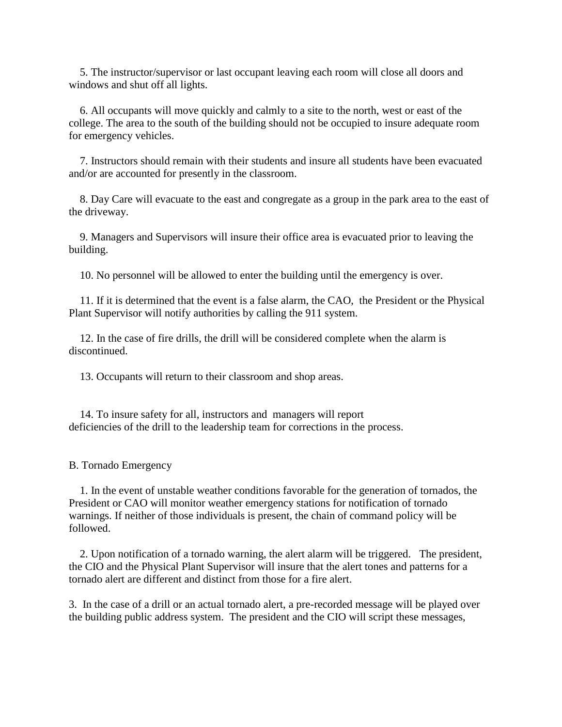5. The instructor/supervisor or last occupant leaving each room will close all doors and windows and shut off all lights.

 6. All occupants will move quickly and calmly to a site to the north, west or east of the college. The area to the south of the building should not be occupied to insure adequate room for emergency vehicles.

 7. Instructors should remain with their students and insure all students have been evacuated and/or are accounted for presently in the classroom.

 8. Day Care will evacuate to the east and congregate as a group in the park area to the east of the driveway.

 9. Managers and Supervisors will insure their office area is evacuated prior to leaving the building.

10. No personnel will be allowed to enter the building until the emergency is over.

 11. If it is determined that the event is a false alarm, the CAO, the President or the Physical Plant Supervisor will notify authorities by calling the 911 system.

 12. In the case of fire drills, the drill will be considered complete when the alarm is discontinued.

13. Occupants will return to their classroom and shop areas.

 14. To insure safety for all, instructors and managers will report deficiencies of the drill to the leadership team for corrections in the process.

B. Tornado Emergency

 1. In the event of unstable weather conditions favorable for the generation of tornados, the President or CAO will monitor weather emergency stations for notification of tornado warnings. If neither of those individuals is present, the chain of command policy will be followed.

 2. Upon notification of a tornado warning, the alert alarm will be triggered. The president, the CIO and the Physical Plant Supervisor will insure that the alert tones and patterns for a tornado alert are different and distinct from those for a fire alert.

3. In the case of a drill or an actual tornado alert, a pre-recorded message will be played over the building public address system. The president and the CIO will script these messages,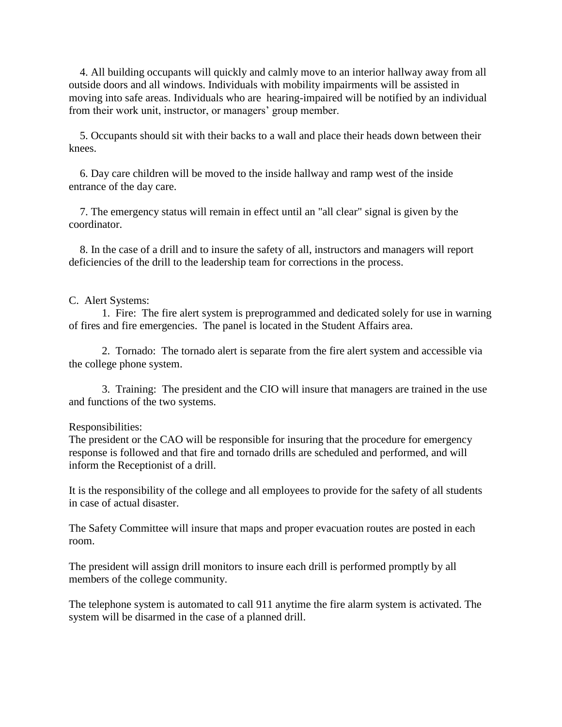4. All building occupants will quickly and calmly move to an interior hallway away from all outside doors and all windows. Individuals with mobility impairments will be assisted in moving into safe areas. Individuals who are hearing-impaired will be notified by an individual from their work unit, instructor, or managers' group member.

 5. Occupants should sit with their backs to a wall and place their heads down between their knees.

 6. Day care children will be moved to the inside hallway and ramp west of the inside entrance of the day care.

 7. The emergency status will remain in effect until an "all clear" signal is given by the coordinator.

 8. In the case of a drill and to insure the safety of all, instructors and managers will report deficiencies of the drill to the leadership team for corrections in the process.

## C. Alert Systems:

 1. Fire: The fire alert system is preprogrammed and dedicated solely for use in warning of fires and fire emergencies. The panel is located in the Student Affairs area.

 2. Tornado: The tornado alert is separate from the fire alert system and accessible via the college phone system.

 3. Training: The president and the CIO will insure that managers are trained in the use and functions of the two systems.

## Responsibilities:

The president or the CAO will be responsible for insuring that the procedure for emergency response is followed and that fire and tornado drills are scheduled and performed, and will inform the Receptionist of a drill.

It is the responsibility of the college and all employees to provide for the safety of all students in case of actual disaster.

The Safety Committee will insure that maps and proper evacuation routes are posted in each room.

The president will assign drill monitors to insure each drill is performed promptly by all members of the college community.

The telephone system is automated to call 911 anytime the fire alarm system is activated. The system will be disarmed in the case of a planned drill.